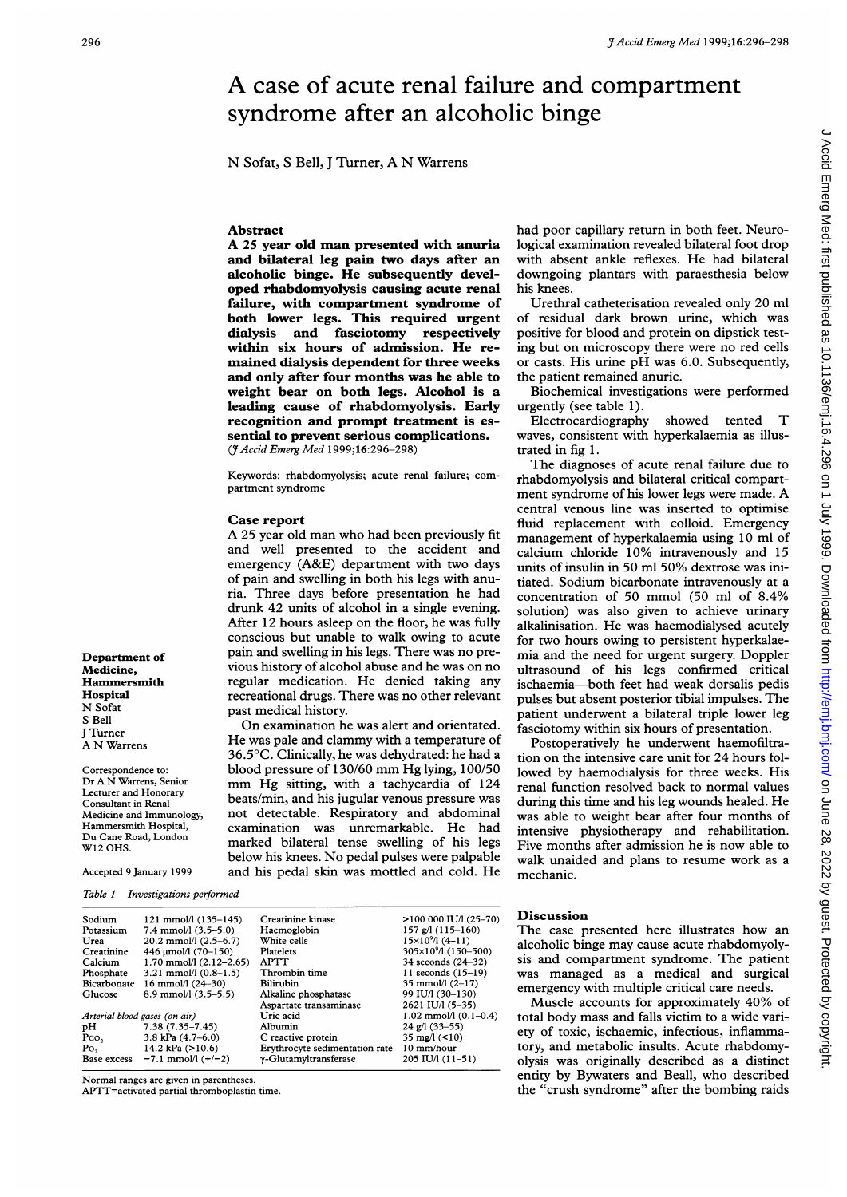## A case of acute renal failure and compartment syndrome after an alcoholic binge

N Sofat, <sup>S</sup> Bell, <sup>J</sup> Turner, A N Warrens

## Abstract

A <sup>25</sup> year old man presented with anuria and bilateral leg pain two days after an alcoholic binge. He subsequently developed rhabdomyolysis causing acute renal failure, with compartment syndrome of both lower legs. This required urgent dialysis and fasciotomy respectively within six hours of admission. He remained dialysis dependent for three weeks and only after four months was he able to weight bear on both legs. Alcohol is a leading cause of rhabdomyolysis. Early recognition and prompt treatment is essential to prevent serious complications. (7Accid Emerg Med 1999;16:296-298)

Keywords: rhabdomyolysis; acute renal failure; compartment syndrome

## Case report

A <sup>25</sup> year old man who had been previously fit and well presented to the accident and emergency (A&E) department with two days of pain and swelling in both his legs with anuria. Three days before presentation he had drunk 42 units of alcohol in a single evening. After 12 hours asleep on the floor, he was fully conscious but unable to walk owing to acute pain and swelling in his legs. There was no previous history of alcohol abuse and he was on no regular medication. He denied taking any recreational drugs. There was no other relevant past medical history.

On examination he was alert and orientated. He was pale and clammy with <sup>a</sup> temperature of 36.5°C. Clinically, he was dehydrated: he had a blood pressure of 130/60 mm Hg lying, 100/50 mm Hg sitting, with <sup>a</sup> tachycardia of <sup>124</sup> beats/min, and his jugular venous pressure was not detectable. Respiratory and abdominal examination was unremarkable. He had marked bilateral tense swelling of his legs below his knees. No pedal pulses were palpable and his pedal skin was mottled and cold. He had poor capillary return in both feet. Neurological examination revealed bilateral foot drop with absent ankle reflexes. He had bilateral downgoing plantars with paraesthesia below his knees.

Urethral catheterisation revealed only 20 ml of residual dark brown urine, which was positive for blood and protein on dipstick testing but on microscopy there were no red cells or casts. His urine pH was 6.0. Subsequently, the patient remained anuric.

Biochemical investigations were performed urgently (see table 1).

Electrocardiography showed tented T waves, consistent with hyperkalaemia as illustrated in fig 1.

The diagnoses of acute renal failure due to rhabdomyolysis and bilateral critical compartment syndrome of his lower legs were made. A central venous line was inserted to optimise fluid replacement with colloid. Emergency management of hyperkalaemia using 10 ml of calcium chloride 10% intravenously and 15 units of insulin in 50 ml 50% dextrose was initiated. Sodium bicarbonate intravenously at a concentration of 50 mmol (50 ml of 8.4% solution) was also given to achieve urinary alkalinisation. He was haemodialysed acutely for two hours owing to persistent hyperkalaemia and the need for urgent surgery. Doppler ultrasound of his legs confirmed critical ischaemia-both feet had weak dorsalis pedis pulses but absent posterior tibial impulses. The patient underwent a bilateral triple lower leg fasciotomy within six hours of presentation.

Postoperatively he underwent haemofiltration on the intensive care unit for 24 hours followed by haemodialysis for three weeks. His renal function resolved back to normal values during this time and his leg wounds healed. He was able to weight bear after four months of intensive physiotherapy and rehabilitation. Five months after admission he is now able to walk unaided and plans to resume work as a mechanic.

Department of Medicine, Hammersmith **Hospital** N Sofat S Bell J Turner A N Warrens

Correspondence to: Dr A N Warrens, Senior Lecturer and Honorary Consultant in Renal Medicine and Immunology, Hammersmith Hospital, Du Cane Road, London W12 OHS.

Accepted 9 January 1999

Table <sup>1</sup> Investigations performed

| Sodium                        | $121$ mmol/l $(135-145)$        | Creatinine kinase              | $>100000$ IU/l (25-70)            |
|-------------------------------|---------------------------------|--------------------------------|-----------------------------------|
| Potassium                     | $7.4$ mmol/l $(3.5-5.0)$        | Haemoglobin                    | $157$ g/l $(115-160)$             |
| Urea                          | $20.2$ mmol/l $(2.5-6.7)$       | White cells                    | $15\times10^{9}/1(4-11)$          |
| Creatinine                    | 446 µmol/l (70-150)             | Platelets                      | 305×10 <sup>9</sup> /l (150-500)  |
| Calcium                       | $1.70$ mmol/l $(2.12-2.65)$     | <b>APTT</b>                    | 34 seconds (24–32)                |
| Phosphate                     | $3.21 \text{ mmol/l} (0.8-1.5)$ | Thrombin time                  | 11 seconds $(15-19)$              |
| Bicarbonate                   | 16 mmol/l $(24-30)$             | Bilirubin                      | 35 mmol/l $(2-17)$                |
| Glucose                       | $8.9$ mmol/l $(3.5-5.5)$        | Alkaline phosphatase           | 99 IU/l (30-130)                  |
|                               |                                 | Aspartate transaminase         | 2621 IU/I (5-35)                  |
| Arterial blood gases (on air) |                                 | Uric acid                      | $1.02 \text{ mmol/l} (0.1 - 0.4)$ |
| pH                            | $7.38(7.35 - 7.45)$             | Albumin                        | $24$ g/l $(33-55)$                |
| $P_{CO2}$                     | 3.8 kPa $(4.7-6.0)$             | C reactive protein             | 35 mg/l $($ <10)                  |
| Po <sub>2</sub>               | 14.2 kPa $(>10.6)$              | Erythrocyte sedimentation rate | 10 mm/hour                        |
| Base excess                   | $-7.1$ mmol/l $(+/-2)$          | y-Glutamyltransferase          | 205 IU/l (11-51)                  |
|                               |                                 |                                |                                   |

Normal ranges are given in parentheses.

APTT=activated partial thromboplastin time.

Discussion

The case presented here illustrates how an alcoholic binge may cause acute rhabdomyolysis and compartment syndrome. The patient was managed as a medical and surgical emergency with multiple critical care needs.

Muscle accounts for approximately 40% of total body mass and falls victim to a wide variety of toxic, ischaemic, infectious, inflammatory, and metabolic insults. Acute rhabdomyolysis was originally described as a distinct entity by Bywaters and Beall, who described the "crush syndrome" after the bombing raids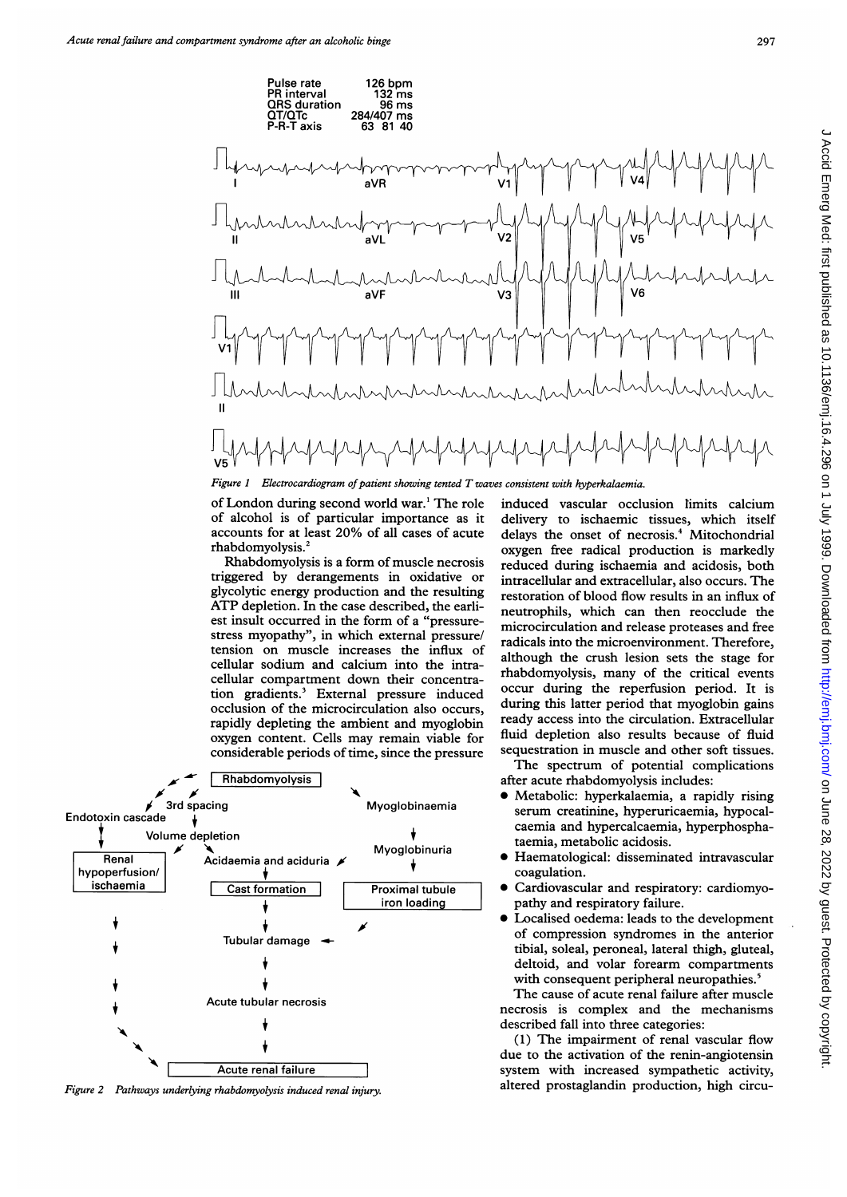

of London during second world war.' The role of alcohol is of particular importance as it accounts for at least 20% of all cases of acute rhabdomyolysis.'

Rhabdomyolysis is a form of muscle necrosis triggered by derangements in oxidative or glycolytic energy production and the resulting ATP depletion. In the case described, the earliest insult occurred in the form of a "pressurestress myopathy", in which external pressure/ tension on muscle increases the influx of cellular sodium and calcium into the intracellular compartment down their concentration gradients.' External pressure induced occlusion of the microcirculation also occurs, rapidly depleting the ambient and myoglobin oxygen content. Cells may remain viable for considerable periods of time, since the pressure



Figure 2 Pathways underlying rhabdomyolysis induced renal injury.

induced vascular occlusion limits calcium delivery to ischaemic tissues, which itself delays the onset of necrosis.<sup>4</sup> Mitochondrial oxygen free radical production is markedly reduced during ischaemia and acidosis, both intracellular and extracellular, also occurs. The restoration of blood flow results in an influx of neutrophils, which can then reocclude the microcirculation and release proteases and free radicals into the microenvironment. Therefore, although the crush lesion sets the stage for rhabdomyolysis, many of the critical events occur during the reperfusion period. It is during this latter period that myoglobin gains ready access into the circulation. Extracellular fluid depletion also results because of fluid sequestration in muscle and other soft tissues.

The spectrum of potential complications after acute rhabdomyolysis includes:

- $\bullet$  Metabolic: hyperkalaemia, a rapidly rising serum creatinine, hyperuricaemia, hypocalcaemia and hypercalcaemia, hyperphosphataemia, metabolic acidosis.
- \* Haematological: disseminated intravascular coagulation.
- Cardiovascular and respiratory: cardiomyopathy and respiratory failure.
- Localised oedema: leads to the development of compression syndromes in the anterior tibial, soleal, peroneal, lateral thigh, gluteal, deltoid, and volar forearm compartments with consequent peripheral neuropathies.<sup>5</sup>

The cause of acute renal failure after muscle necrosis is complex and the mechanisms described fall into three categories:

(1) The impairment of renal vascular flow due to the activation of the renin-angiotensin system with increased sympathetic activity, altered prostaglandin production, high circu